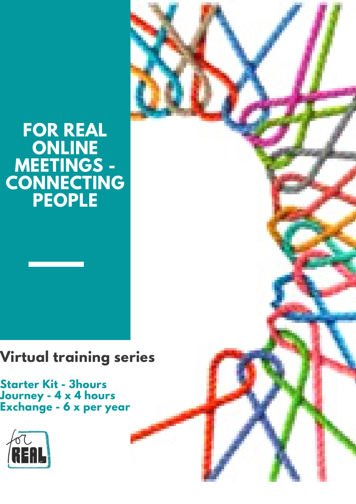# **FOR REAL ONLINE MEETINGS - CONNECTING PEOPLE**

# **Virtual training series**

**Starter Kit - 3hours Journey - 4 x 4 hours Exchange - 6 x per year**



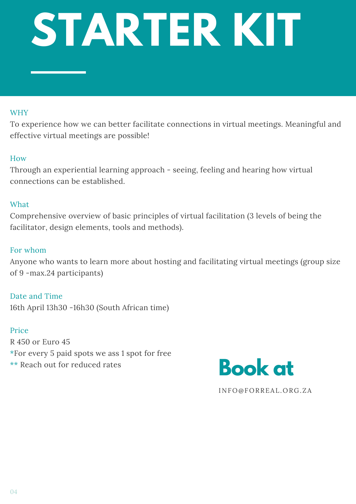# **STARTER KIT**

# WHY

To experience how we can better facilitate connections in virtual meetings. Meaningful and effective virtual meetings are possible!

# How

Through an experiential learning approach - seeing, feeling and hearing how virtual connections can be established.

# What

Comprehensive overview of basic principles of virtual facilitation (3 levels of being the facilitator, design elements, tools and methods).

# For whom

Anyone who wants to learn more about hosting and facilitating virtual meetings (group size of 9 -max.24 participants)

Date and Time 16th April 13h30 -16h30 (South African time)

# Price

R 450 or Euro 45 \*For every 5 paid spots we ass 1 spot for free \*\* Reach out for reduced rates



INFO@FORREAL.ORG.ZA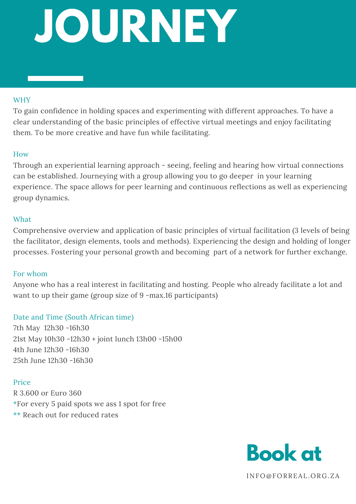# **JOURNEY**

#### WHY

To gain confidence in holding spaces and experimenting with different approaches. To have a clear understanding of the basic principles of effective virtual meetings and enjoy facilitating them. To be more creative and have fun while facilitating.

#### How

Through an experiential learning approach - seeing, feeling and hearing how virtual connections can be established. Journeying with a group allowing you to go deeper in your learning experience. The space allows for peer learning and continuous reflections as well as experiencing group dynamics.

## What

Comprehensive overview and application of basic principles of virtual facilitation (3 levels of being the facilitator, design elements, tools and methods). Experiencing the design and holding of longer processes. Fostering your personal growth and becoming part of a network for further exchange.

## For whom

Anyone who has a real interest in facilitating and hosting. People who already facilitate a lot and want to up their game (group size of 9 -max.16 participants)

## Date and Time (South African time)

7th May 12h30 -16h30 21st May 10h30 -12h30 + joint lunch 13h00 -15h00 4th June 12h30 -16h30 25th June 12h30 -16h30

## Price

R 3.600 or Euro 360 \*For every 5 paid spots we ass 1 spot for free \*\* Reach out for reduced rates